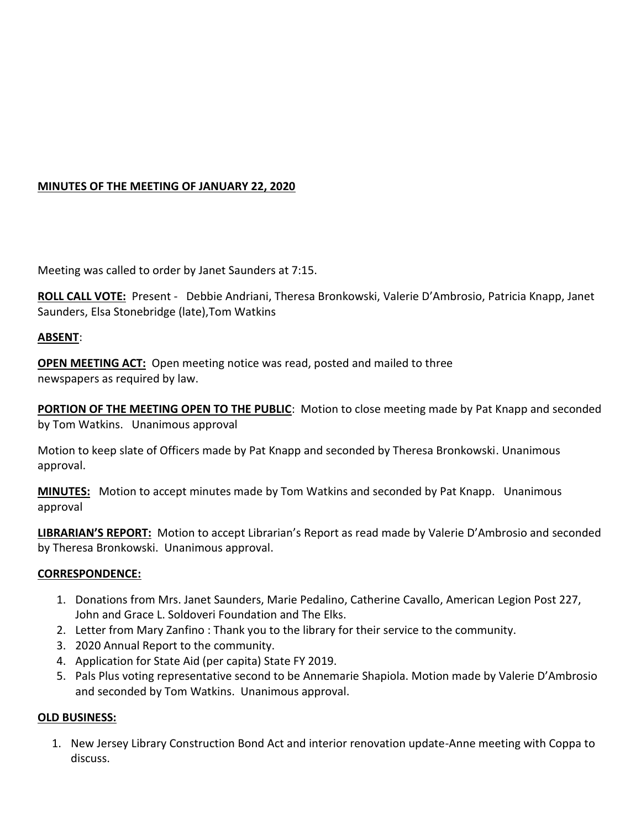# **MINUTES OF THE MEETING OF JANUARY 22, 2020**

Meeting was called to order by Janet Saunders at 7:15.

**ROLL CALL VOTE:** Present - Debbie Andriani, Theresa Bronkowski, Valerie D'Ambrosio, Patricia Knapp, Janet Saunders, Elsa Stonebridge (late),Tom Watkins

#### **ABSENT**:

**OPEN MEETING ACT:** Open meeting notice was read, posted and mailed to three newspapers as required by law.

**PORTION OF THE MEETING OPEN TO THE PUBLIC**: Motion to close meeting made by Pat Knapp and seconded by Tom Watkins. Unanimous approval

Motion to keep slate of Officers made by Pat Knapp and seconded by Theresa Bronkowski. Unanimous approval.

**MINUTES:** Motion to accept minutes made by Tom Watkins and seconded by Pat Knapp. Unanimous approval

**LIBRARIAN'S REPORT:** Motion to accept Librarian's Report as read made by Valerie D'Ambrosio and seconded by Theresa Bronkowski. Unanimous approval.

#### **CORRESPONDENCE:**

- 1. Donations from Mrs. Janet Saunders, Marie Pedalino, Catherine Cavallo, American Legion Post 227, John and Grace L. Soldoveri Foundation and The Elks.
- 2. Letter from Mary Zanfino : Thank you to the library for their service to the community.
- 3. 2020 Annual Report to the community.
- 4. Application for State Aid (per capita) State FY 2019.
- 5. Pals Plus voting representative second to be Annemarie Shapiola. Motion made by Valerie D'Ambrosio and seconded by Tom Watkins. Unanimous approval.

#### **OLD BUSINESS:**

1. New Jersey Library Construction Bond Act and interior renovation update-Anne meeting with Coppa to discuss.